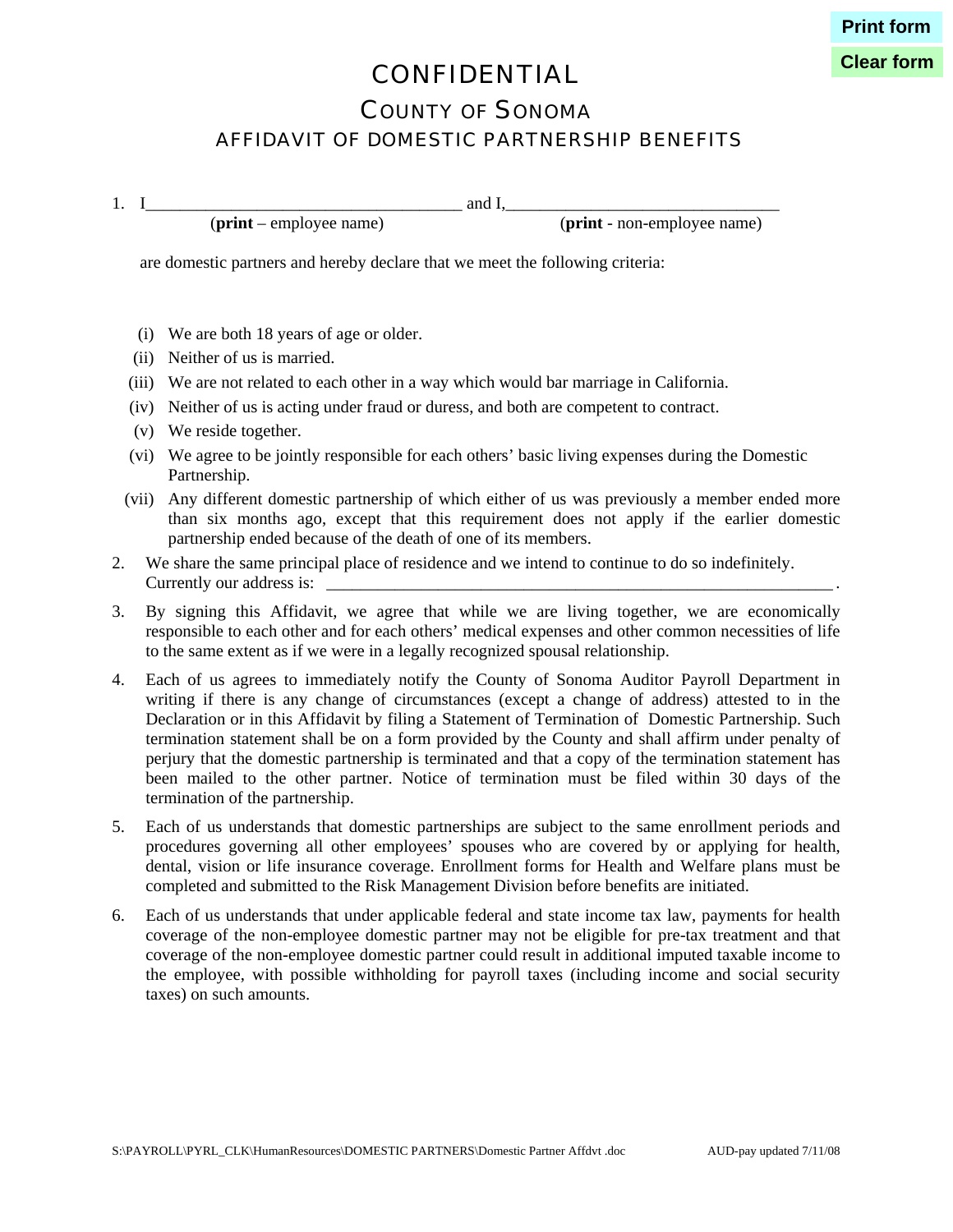## CONFIDENTIAL

**Clear form**

### COUNTY OF SONOMA

#### AFFIDAVIT OF DOMESTIC PARTNERSHIP BENEFITS

1. I\_\_\_\_\_\_\_\_\_\_\_\_\_\_\_\_\_\_\_\_\_\_\_\_\_\_\_\_\_\_\_\_\_\_\_\_\_ and I,\_\_\_\_\_\_\_\_\_\_\_\_\_\_\_\_\_\_\_\_\_\_\_\_\_\_\_\_\_\_\_\_

(**print** – employee name) (**print** - non-employee name)

are domestic partners and hereby declare that we meet the following criteria:

- (i) We are both 18 years of age or older.
- (ii) Neither of us is married.
- (iii) We are not related to each other in a way which would bar marriage in California.
- (iv) Neither of us is acting under fraud or duress, and both are competent to contract.
- (v) We reside together.
- (vi) We agree to be jointly responsible for each others' basic living expenses during the Domestic Partnership.
- (vii) Any different domestic partnership of which either of us was previously a member ended more than six months ago, except that this requirement does not apply if the earlier domestic partnership ended because of the death of one of its members.
- 2. We share the same principal place of residence and we intend to continue to do so indefinitely. Currently our address is:
- 3. By signing this Affidavit, we agree that while we are living together, we are economically responsible to each other and for each others' medical expenses and other common necessities of life to the same extent as if we were in a legally recognized spousal relationship.
- 4. Each of us agrees to immediately notify the County of Sonoma Auditor Payroll Department in writing if there is any change of circumstances (except a change of address) attested to in the Declaration or in this Affidavit by filing a Statement of Termination of Domestic Partnership. Such termination statement shall be on a form provided by the County and shall affirm under penalty of perjury that the domestic partnership is terminated and that a copy of the termination statement has been mailed to the other partner. Notice of termination must be filed within 30 days of the termination of the partnership.
- 5. Each of us understands that domestic partnerships are subject to the same enrollment periods and procedures governing all other employees' spouses who are covered by or applying for health, dental, vision or life insurance coverage. Enrollment forms for Health and Welfare plans must be completed and submitted to the Risk Management Division before benefits are initiated.
- 6. Each of us understands that under applicable federal and state income tax law, payments for health coverage of the non-employee domestic partner may not be eligible for pre-tax treatment and that coverage of the non-employee domestic partner could result in additional imputed taxable income to the employee, with possible withholding for payroll taxes (including income and social security taxes) on such amounts.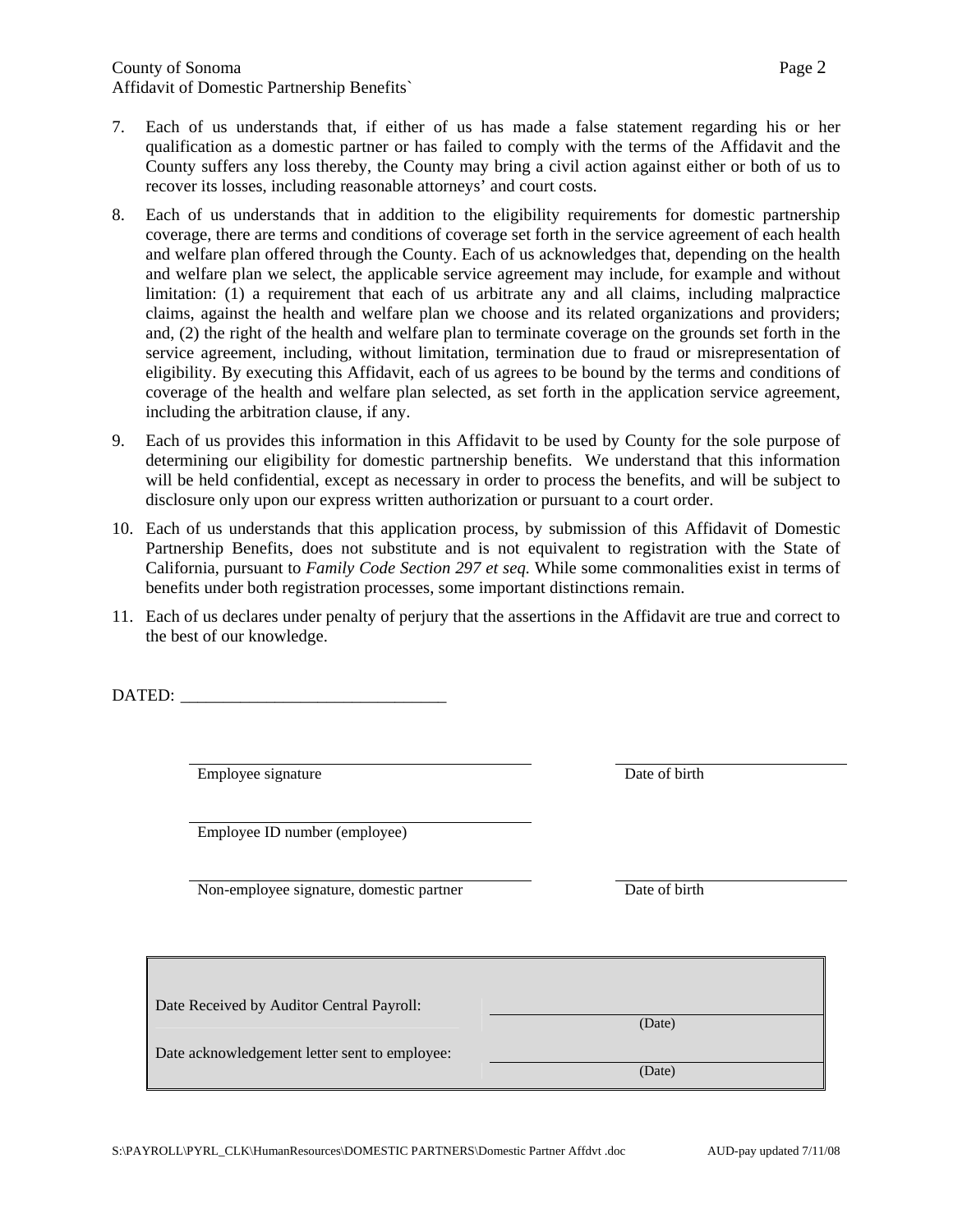- 7. Each of us understands that, if either of us has made a false statement regarding his or her qualification as a domestic partner or has failed to comply with the terms of the Affidavit and the County suffers any loss thereby, the County may bring a civil action against either or both of us to recover its losses, including reasonable attorneys' and court costs.
- 8. Each of us understands that in addition to the eligibility requirements for domestic partnership coverage, there are terms and conditions of coverage set forth in the service agreement of each health and welfare plan offered through the County. Each of us acknowledges that, depending on the health and welfare plan we select, the applicable service agreement may include, for example and without limitation: (1) a requirement that each of us arbitrate any and all claims, including malpractice claims, against the health and welfare plan we choose and its related organizations and providers; and, (2) the right of the health and welfare plan to terminate coverage on the grounds set forth in the service agreement, including, without limitation, termination due to fraud or misrepresentation of eligibility. By executing this Affidavit, each of us agrees to be bound by the terms and conditions of coverage of the health and welfare plan selected, as set forth in the application service agreement, including the arbitration clause, if any.
- 9. Each of us provides this information in this Affidavit to be used by County for the sole purpose of determining our eligibility for domestic partnership benefits. We understand that this information will be held confidential, except as necessary in order to process the benefits, and will be subject to disclosure only upon our express written authorization or pursuant to a court order.
- 10. Each of us understands that this application process, by submission of this Affidavit of Domestic Partnership Benefits, does not substitute and is not equivalent to registration with the State of California, pursuant to *Family Code Section 297 et seq.* While some commonalities exist in terms of benefits under both registration processes, some important distinctions remain.
- 11. Each of us declares under penalty of perjury that the assertions in the Affidavit are true and correct to the best of our knowledge.

DATED:

Employee signature Date of birth

Employee ID number (employee)

Non-employee signature, domestic partner Date of birth

(Date)

(Date)

| Date Received by Auditor Central Payroll: |
|-------------------------------------------|
|-------------------------------------------|

Date acknowledgement letter sent to employee: